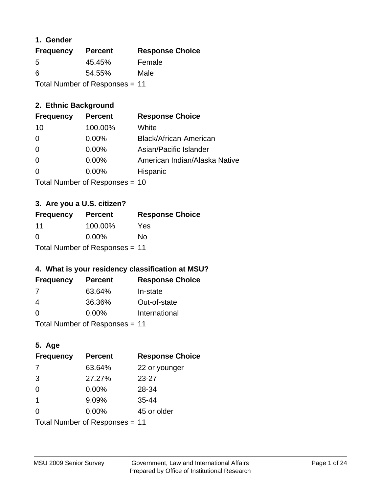## **1. Gender**

| <b>Frequency</b>               | <b>Percent</b> | <b>Response Choice</b> |
|--------------------------------|----------------|------------------------|
| 5                              | 45.45%         | Female                 |
| 6                              | 54.55%         | Male                   |
| Total Number of Responses = 11 |                |                        |

## **2. Ethnic Background**

| <b>Frequency</b> | <b>Percent</b> | <b>Response Choice</b>        |
|------------------|----------------|-------------------------------|
| 10               | 100.00%        | White                         |
| $\Omega$         | $0.00\%$       | Black/African-American        |
| 0                | $0.00\%$       | Asian/Pacific Islander        |
| $\Omega$         | 0.00%          | American Indian/Alaska Native |
| $\Omega$         | 0.00%          | Hispanic                      |
|                  |                |                               |

Total Number of Responses = 10

## **3. Are you a U.S. citizen?**

| <b>Frequency</b>               | <b>Percent</b> | <b>Response Choice</b> |
|--------------------------------|----------------|------------------------|
| 11                             | 100.00%        | Yes                    |
| $\Omega$                       | $0.00\%$       | Nο                     |
| Total Number of Responses = 11 |                |                        |

## **4. What is your residency classification at MSU?**

| <b>Frequency</b> | <b>Percent</b> | <b>Response Choice</b> |
|------------------|----------------|------------------------|
| 7                | 63.64%         | In-state               |
| 4                | 36.36%         | Out-of-state           |
| $\Omega$         | $0.00\%$       | International          |
|                  |                |                        |

Total Number of Responses = 11

## **5. Age**

| <b>Frequency</b>               | <b>Percent</b> | <b>Response Choice</b> |
|--------------------------------|----------------|------------------------|
| -7                             | 63.64%         | 22 or younger          |
| 3                              | 27.27%         | $23 - 27$              |
| $\Omega$                       | 0.00%          | 28-34                  |
| $\mathbf{1}$                   | 9.09%          | $35 - 44$              |
| 0                              | 0.00%          | 45 or older            |
| Total Number of Responses = 11 |                |                        |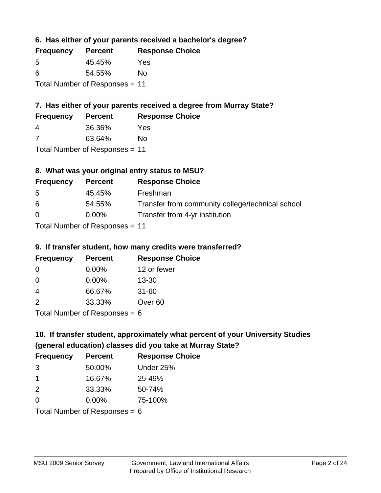**6. Has either of your parents received a bachelor's degree?**

| <b>Frequency</b>               | <b>Percent</b> | <b>Response Choice</b> |
|--------------------------------|----------------|------------------------|
| .5                             | 45.45%         | Yes                    |
| 6                              | 54.55%         | No                     |
| Total Number of Responses = 11 |                |                        |

## **7. Has either of your parents received a degree from Murray State?**

| <b>Frequency</b> | <b>Percent</b> | <b>Response Choice</b> |
|------------------|----------------|------------------------|
| 4                | 36.36%         | Yes                    |
|                  | 63.64%         | No                     |

Total Number of Responses = 11

## **8. What was your original entry status to MSU?**

| <b>Frequency</b> | <b>Percent</b>               | <b>Response Choice</b>                           |
|------------------|------------------------------|--------------------------------------------------|
| .5               | 45.45%                       | Freshman                                         |
| 6                | 54.55%                       | Transfer from community college/technical school |
| $\Omega$         | $0.00\%$                     | Transfer from 4-yr institution                   |
|                  | Total Number of Deepensee 44 |                                                  |

Total Number of Responses = 11

## **9. If transfer student, how many credits were transferred?**

| <b>Frequency</b>           | <b>Percent</b> | <b>Response Choice</b> |
|----------------------------|----------------|------------------------|
| 0                          | $0.00\%$       | 12 or fewer            |
| 0                          | 0.00%          | $13 - 30$              |
| 4                          | 66.67%         | $31 - 60$              |
| $\mathcal{P}$              | 33.33%         | Over <sub>60</sub>     |
| Total Number of Deepersoon |                |                        |

I otal Number of Responses  $= 6$ 

# **10. If transfer student, approximately what percent of your University Studies (general education) classes did you take at Murray State?**

| <b>Frequency</b>              | <b>Percent</b> | <b>Response Choice</b> |
|-------------------------------|----------------|------------------------|
| 3                             | 50.00%         | Under 25%              |
| $\mathbf 1$                   | 16.67%         | 25-49%                 |
| 2                             | 33.33%         | 50-74%                 |
| $\Omega$                      | $0.00\%$       | 75-100%                |
| $Total Number of Denonce - 6$ |                |                        |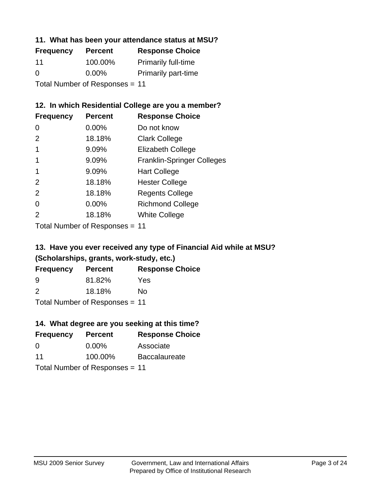## **11. What has been your attendance status at MSU?**

| <b>Frequency</b>               | <b>Percent</b> | <b>Response Choice</b>     |
|--------------------------------|----------------|----------------------------|
| 11                             | 100.00%        | <b>Primarily full-time</b> |
| $\Omega$                       | $0.00\%$       | <b>Primarily part-time</b> |
| Total Number of Responses = 11 |                |                            |

## **12. In which Residential College are you a member?**

| <b>Frequency</b> | <b>Percent</b> | <b>Response Choice</b>            |
|------------------|----------------|-----------------------------------|
| 0                | $0.00\%$       | Do not know                       |
| 2                | 18.18%         | <b>Clark College</b>              |
| 1                | 9.09%          | <b>Elizabeth College</b>          |
| 1                | 9.09%          | <b>Franklin-Springer Colleges</b> |
|                  | 9.09%          | <b>Hart College</b>               |
| $\mathcal{P}$    | 18.18%         | <b>Hester College</b>             |
| 2                | 18.18%         | <b>Regents College</b>            |
| 0                | 0.00%          | <b>Richmond College</b>           |
| 2                | 18.18%         | <b>White College</b>              |
|                  |                |                                   |

Total Number of Responses = 11

## **13. Have you ever received any type of Financial Aid while at MSU? (Scholarships, grants, work-study, etc.)**

| <b>Frequency</b>               | <b>Percent</b> | <b>Response Choice</b> |  |
|--------------------------------|----------------|------------------------|--|
| 9                              | 81.82%         | Yes                    |  |
| $\mathcal{P}$                  | 18.18%         | Nο                     |  |
| Total Number of Responses = 11 |                |                        |  |

**14. What degree are you seeking at this time?**

| <b>Frequency</b> | <b>Percent</b>                 | <b>Response Choice</b> |
|------------------|--------------------------------|------------------------|
| 0                | $0.00\%$                       | Associate              |
| 11               | 100.00%                        | <b>Baccalaureate</b>   |
|                  | Total Number of Responses = 11 |                        |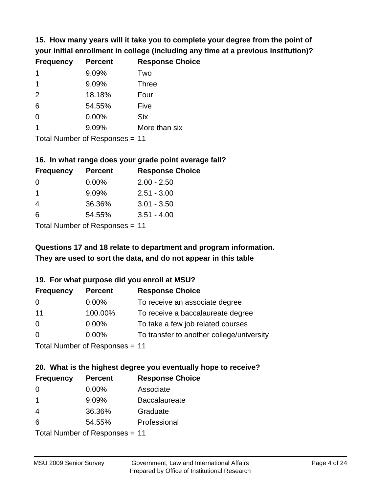**15. How many years will it take you to complete your degree from the point of your initial enrollment in college (including any time at a previous institution)?**

| <b>Frequency</b> | <b>Percent</b> | <b>Response Choice</b> |
|------------------|----------------|------------------------|
| $\mathbf 1$      | 9.09%          | Two                    |
| 1                | 9.09%          | <b>Three</b>           |
| 2                | 18.18%         | Four                   |
| 6                | 54.55%         | Five                   |
| $\Omega$         | 0.00%          | <b>Six</b>             |
|                  | 9.09%          | More than six          |
|                  |                |                        |

Total Number of Responses = 11

#### **16. In what range does your grade point average fall?**

| <b>Frequency</b> | <b>Percent</b> | <b>Response Choice</b> |
|------------------|----------------|------------------------|
| -0               | $0.00\%$       | $2.00 - 2.50$          |
| 1                | 9.09%          | $2.51 - 3.00$          |
| 4                | 36.36%         | $3.01 - 3.50$          |
| 6                | 54.55%         | $3.51 - 4.00$          |
|                  |                |                        |

Total Number of Responses = 11

## **They are used to sort the data, and do not appear in this table Questions 17 and 18 relate to department and program information.**

### **19. For what purpose did you enroll at MSU?**

| <b>Frequency</b>                | <b>Percent</b> | <b>Response Choice</b>                    |
|---------------------------------|----------------|-------------------------------------------|
| 0                               | $0.00\%$       | To receive an associate degree            |
| 11                              | 100.00%        | To receive a baccalaureate degree         |
| $\Omega$                        | $0.00\%$       | To take a few job related courses         |
| $\Omega$                        | 0.00%          | To transfer to another college/university |
| Total Number of Decononces - 11 |                |                                           |

Total Number of Responses = 11

# **20. What is the highest degree you eventually hope to receive?**

| <b>Frequency</b> | <b>Percent</b>             | <b>Response Choice</b> |
|------------------|----------------------------|------------------------|
| 0                | $0.00\%$                   | Associate              |
| $\mathbf 1$      | 9.09%                      | <b>Baccalaureate</b>   |
| 4                | 36.36%                     | Graduate               |
| 6                | 54.55%                     | Professional           |
|                  | Tatal Number of Desperance |                        |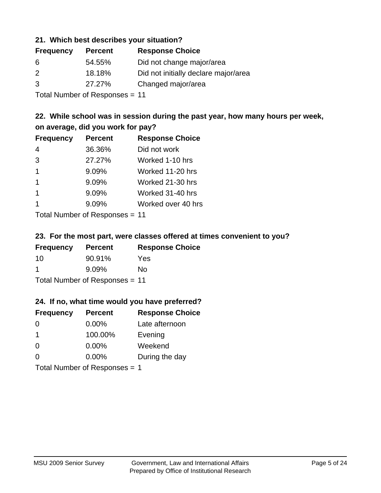### **21. Which best describes your situation?**

| <b>Percent</b> | <b>Response Choice</b>               |
|----------------|--------------------------------------|
| 54.55%         | Did not change major/area            |
| 18.18%         | Did not initially declare major/area |
| 27.27%         | Changed major/area                   |
|                |                                      |

Total Number of Responses = 11

## **22. While school was in session during the past year, how many hours per week, on average, did you work for pay?**

| <b>Frequency</b> | <b>Percent</b> | <b>Response Choice</b> |
|------------------|----------------|------------------------|
| 4                | 36.36%         | Did not work           |
| 3                | 27.27%         | Worked 1-10 hrs        |
| $\overline{1}$   | 9.09%          | Worked 11-20 hrs       |
| $\mathbf 1$      | 9.09%          | Worked 21-30 hrs       |
| $\mathbf 1$      | 9.09%          | Worked 31-40 hrs       |
|                  | 9.09%          | Worked over 40 hrs     |
|                  |                |                        |

Total Number of Responses = 11

### **23. For the most part, were classes offered at times convenient to you?**

| <b>Frequency</b> | <b>Percent</b>                 | <b>Response Choice</b> |
|------------------|--------------------------------|------------------------|
| 10               | 90.91%                         | <b>Yes</b>             |
| -1               | $9.09\%$                       | No.                    |
|                  | Total Number of Responses = 11 |                        |

### **24. If no, what time would you have preferred?**

| <b>Frequency</b>              | <b>Percent</b> | <b>Response Choice</b> |
|-------------------------------|----------------|------------------------|
| $\Omega$                      | $0.00\%$       | Late afternoon         |
| $\mathbf 1$                   | 100.00%        | Evening                |
| $\Omega$                      | $0.00\%$       | Weekend                |
| $\Omega$                      | $0.00\%$       | During the day         |
| Total Number of Responses = 1 |                |                        |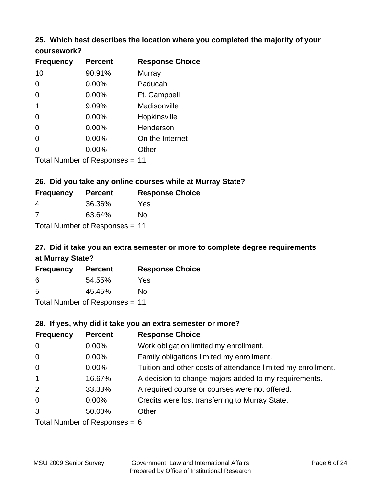# **25. Which best describes the location where you completed the majority of your**

| coursework? |  |
|-------------|--|
|-------------|--|

| <b>Frequency</b> | <b>Percent</b>                 | <b>Response Choice</b> |
|------------------|--------------------------------|------------------------|
| 10               | 90.91%                         | Murray                 |
| 0                | 0.00%                          | Paducah                |
| 0                | 0.00%                          | Ft. Campbell           |
| 1                | 9.09%                          | Madisonville           |
| 0                | 0.00%                          | Hopkinsville           |
| 0                | 0.00%                          | Henderson              |
| 0                | 0.00%                          | On the Internet        |
| 0                | 0.00%                          | Other                  |
|                  | Total Number of Responses = 11 |                        |

### **26. Did you take any online courses while at Murray State?**

| <b>Frequency</b> | <b>Percent</b>                 | <b>Response Choice</b> |
|------------------|--------------------------------|------------------------|
| 4                | 36.36%                         | Yes                    |
| -7               | 63.64%                         | No                     |
|                  | Total Number of Responses = 11 |                        |

## **27. Did it take you an extra semester or more to complete degree requirements at Murray State?**

| <b>Frequency</b>               | <b>Percent</b> | <b>Response Choice</b> |  |  |
|--------------------------------|----------------|------------------------|--|--|
| 6                              | 54.55%         | Yes                    |  |  |
| .5                             | 45.45%         | No                     |  |  |
| Total Number of Responses = 11 |                |                        |  |  |

## **28. If yes, why did it take you an extra semester or more?**

| <b>Frequency</b> | <b>Percent</b>                  | <b>Response Choice</b>                                       |
|------------------|---------------------------------|--------------------------------------------------------------|
| $\overline{0}$   | $0.00\%$                        | Work obligation limited my enrollment.                       |
| $\mathbf 0$      | $0.00\%$                        | Family obligations limited my enrollment.                    |
| $\overline{0}$   | $0.00\%$                        | Tuition and other costs of attendance limited my enrollment. |
| $\overline{1}$   | 16.67%                          | A decision to change majors added to my requirements.        |
| 2                | 33.33%                          | A required course or courses were not offered.               |
| $\overline{0}$   | $0.00\%$                        | Credits were lost transferring to Murray State.              |
| 3                | 50.00%                          | Other                                                        |
|                  | Total Number of Reconnege $-$ 6 |                                                              |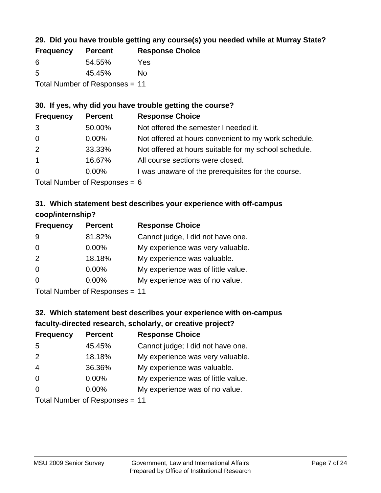## **29. Did you have trouble getting any course(s) you needed while at Murray State?**

| <b>Frequency</b>               | <b>Percent</b> | <b>Response Choice</b> |  |
|--------------------------------|----------------|------------------------|--|
| -6                             | 54.55%         | Yes                    |  |
| -5                             | 45.45%         | Nο                     |  |
| Total Number of Responses = 11 |                |                        |  |

### **30. If yes, why did you have trouble getting the course?**

| <b>Frequency</b> | <b>Percent</b> | <b>Response Choice</b>                                |
|------------------|----------------|-------------------------------------------------------|
| 3                | 50.00%         | Not offered the semester I needed it.                 |
| $\overline{0}$   | $0.00\%$       | Not offered at hours convenient to my work schedule.  |
| 2                | 33.33%         | Not offered at hours suitable for my school schedule. |
| $\overline{1}$   | 16.67%         | All course sections were closed.                      |
| $\overline{0}$   | $0.00\%$       | I was unaware of the prerequisites for the course.    |
|                  |                |                                                       |

Total Number of Responses  $= 6$ 

## **31. Which statement best describes your experience with off-campus coop/internship?**

| <b>Frequency</b> | <b>Percent</b>                | <b>Response Choice</b>             |
|------------------|-------------------------------|------------------------------------|
| 9                | 81.82%                        | Cannot judge, I did not have one.  |
| $\Omega$         | $0.00\%$                      | My experience was very valuable.   |
| 2                | 18.18%                        | My experience was valuable.        |
| $\Omega$         | $0.00\%$                      | My experience was of little value. |
| $\Omega$         | 0.00%                         | My experience was of no value.     |
|                  | $T$ and Number and Decomposed |                                    |

Total Number of Responses = 11

# **32. Which statement best describes your experience with on-campus faculty-directed research, scholarly, or creative project?**

| <b>Frequency</b> | <b>Percent</b>             | <b>Response Choice</b>             |
|------------------|----------------------------|------------------------------------|
| 5                | 45.45%                     | Cannot judge; I did not have one.  |
| 2                | 18.18%                     | My experience was very valuable.   |
| $\overline{4}$   | 36.36%                     | My experience was valuable.        |
| $\overline{0}$   | $0.00\%$                   | My experience was of little value. |
| $\Omega$         | 0.00%                      | My experience was of no value.     |
|                  | Tatal Number of Desperance |                                    |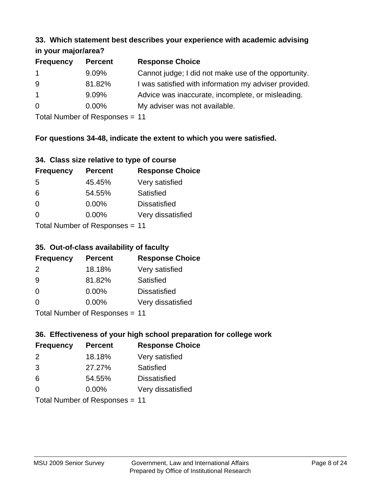#### **33. Which statement best describes your experience with academic advising in your major/area?**

| 111, 1001, 11101, 01100 |                |                                                       |
|-------------------------|----------------|-------------------------------------------------------|
| <b>Frequency</b>        | <b>Percent</b> | <b>Response Choice</b>                                |
| $\mathbf{1}$            | 9.09%          | Cannot judge; I did not make use of the opportunity.  |
| 9                       | 81.82%         | I was satisfied with information my adviser provided. |
| $\overline{1}$          | 9.09%          | Advice was inaccurate, incomplete, or misleading.     |
| $\overline{0}$          | 0.00%          | My adviser was not available.                         |
|                         |                |                                                       |

Total Number of Responses = 11

## **For questions 34-48, indicate the extent to which you were satisfied.**

| 34. Class size relative to type of course |  |  |  |  |  |  |  |  |
|-------------------------------------------|--|--|--|--|--|--|--|--|
|-------------------------------------------|--|--|--|--|--|--|--|--|

| <b>Frequency</b>               | <b>Percent</b> | <b>Response Choice</b> |  |  |
|--------------------------------|----------------|------------------------|--|--|
| -5                             | 45.45%         | Very satisfied         |  |  |
| 6                              | 54.55%         | Satisfied              |  |  |
| $\Omega$                       | $0.00\%$       | <b>Dissatisfied</b>    |  |  |
| $\Omega$                       | $0.00\%$       | Very dissatisfied      |  |  |
| Total Number of Responses - 11 |                |                        |  |  |

Total Number of Responses = 11

## **35. Out-of-class availability of faculty**

| <b>Frequency</b> | <b>Percent</b>            | <b>Response Choice</b> |
|------------------|---------------------------|------------------------|
| $\mathcal{P}$    | 18.18%                    | Very satisfied         |
| 9                | 81.82%                    | Satisfied              |
| $\Omega$         | $0.00\%$                  | <b>Dissatisfied</b>    |
| $\Omega$         | $0.00\%$                  | Very dissatisfied      |
|                  | Total Number of Deepersee |                        |

Total Number of Responses = 11

## **36. Effectiveness of your high school preparation for college work**

| <b>Frequency</b>               | <b>Percent</b> | <b>Response Choice</b> |  |  |
|--------------------------------|----------------|------------------------|--|--|
| 2                              | 18.18%         | Very satisfied         |  |  |
| 3                              | 27.27%         | Satisfied              |  |  |
| 6                              | 54.55%         | <b>Dissatisfied</b>    |  |  |
| $\Omega$                       | 0.00%          | Very dissatisfied      |  |  |
| Total Number of Responses = 11 |                |                        |  |  |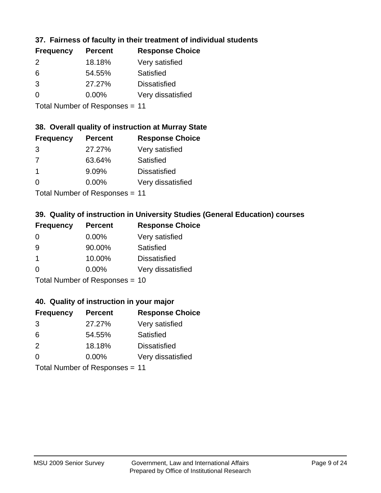## **37. Fairness of faculty in their treatment of individual students**

| <b>Frequency</b> | <b>Percent</b> | <b>Response Choice</b> |
|------------------|----------------|------------------------|
| $\mathcal{P}$    | 18.18%         | Very satisfied         |
| 6                | 54.55%         | Satisfied              |
| 3                | 27.27%         | <b>Dissatisfied</b>    |
| $\Omega$         | $0.00\%$       | Very dissatisfied      |
|                  |                |                        |

Total Number of Responses = 11

### **38. Overall quality of instruction at Murray State**

| <b>Frequency</b> | <b>Percent</b> | <b>Response Choice</b> |
|------------------|----------------|------------------------|
| 3                | 27.27%         | Very satisfied         |
| 7                | 63.64%         | Satisfied              |
| $\overline{1}$   | 9.09%          | <b>Dissatisfied</b>    |
| ∩                | 0.00%          | Very dissatisfied      |
|                  |                |                        |

Total Number of Responses = 11

## **39. Quality of instruction in University Studies (General Education) courses**

| <b>Frequency</b> | <b>Percent</b>              | <b>Response Choice</b> |
|------------------|-----------------------------|------------------------|
| $\Omega$         | $0.00\%$                    | Very satisfied         |
| 9                | 90.00%                      | Satisfied              |
| $\mathbf 1$      | 10.00%                      | <b>Dissatisfied</b>    |
| $\Omega$         | $0.00\%$                    | Very dissatisfied      |
|                  | $Total Number of Denonce -$ |                        |

Total Number of Responses = 10

### **40. Quality of instruction in your major**

| <b>Frequency</b> | <b>Percent</b> | <b>Response Choice</b> |
|------------------|----------------|------------------------|
| 3                | 27.27%         | Very satisfied         |
| 6                | 54.55%         | Satisfied              |
| 2                | 18.18%         | <b>Dissatisfied</b>    |
| $\Omega$         | 0.00%          | Very dissatisfied      |
|                  |                |                        |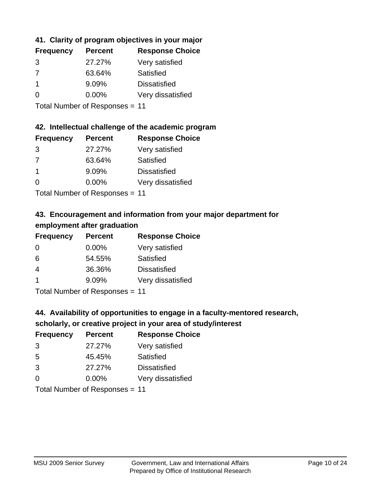## **41. Clarity of program objectives in your major**

| <b>Frequency</b> | <b>Percent</b> | <b>Response Choice</b> |
|------------------|----------------|------------------------|
| 3                | 27.27%         | Very satisfied         |
| 7                | 63.64%         | Satisfied              |
|                  | 9.09%          | <b>Dissatisfied</b>    |
| ∩                | $0.00\%$       | Very dissatisfied      |
|                  |                |                        |

Total Number of Responses = 11

### **42. Intellectual challenge of the academic program**

| <b>Frequency</b> | <b>Percent</b> | <b>Response Choice</b> |
|------------------|----------------|------------------------|
| 3                | 27.27%         | Very satisfied         |
| 7                | 63.64%         | Satisfied              |
|                  | 9.09%          | <b>Dissatisfied</b>    |
| $\Omega$         | 0.00%          | Very dissatisfied      |
|                  |                |                        |

Total Number of Responses = 11

## **43. Encouragement and information from your major department for employment after graduation**

| <b>Frequency</b> | <b>Percent</b> | <b>Response Choice</b> |
|------------------|----------------|------------------------|
| 0                | 0.00%          | Very satisfied         |
| 6                | 54.55%         | Satisfied              |
| 4                | 36.36%         | <b>Dissatisfied</b>    |
| $\mathbf 1$      | 9.09%          | Very dissatisfied      |
|                  |                |                        |

Total Number of Responses = 11

## **44. Availability of opportunities to engage in a faculty-mentored research,**

## **scholarly, or creative project in your area of study/interest**

| <b>Frequency</b> | <b>Percent</b> | <b>Response Choice</b> |
|------------------|----------------|------------------------|
| 3                | 27.27%         | Very satisfied         |
| 5                | 45.45%         | Satisfied              |
| 3                | 27.27%         | <b>Dissatisfied</b>    |
| $\Omega$         | 0.00%          | Very dissatisfied      |
|                  |                |                        |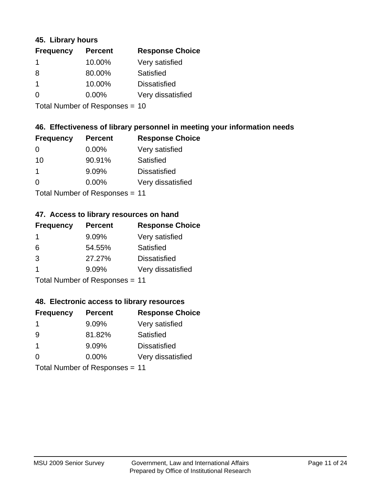### **45. Library hours**

| <b>Frequency</b> | <b>Percent</b> | <b>Response Choice</b> |
|------------------|----------------|------------------------|
| -1               | 10.00%         | Very satisfied         |
| 8                | 80.00%         | Satisfied              |
|                  | 10.00%         | <b>Dissatisfied</b>    |
| $\Omega$         | 0.00%          | Very dissatisfied      |
|                  |                |                        |

Total Number of Responses = 10

## **46. Effectiveness of library personnel in meeting your information needs**

| <b>Frequency</b> | <b>Percent</b> | <b>Response Choice</b> |
|------------------|----------------|------------------------|
| 0                | $0.00\%$       | Very satisfied         |
| 10               | 90.91%         | Satisfied              |
|                  | 9.09%          | <b>Dissatisfied</b>    |
| $\Omega$         | 0.00%          | Very dissatisfied      |
|                  |                |                        |

Total Number of Responses = 11

### **47. Access to library resources on hand**

| <b>Frequency</b> | <b>Percent</b>             | <b>Response Choice</b> |
|------------------|----------------------------|------------------------|
| -1               | 9.09%                      | Very satisfied         |
| 6                | 54.55%                     | Satisfied              |
| 3                | 27.27%                     | <b>Dissatisfied</b>    |
|                  | 9.09%                      | Very dissatisfied      |
|                  | Tatal Number of Desperance |                        |

Total Number of Responses = 11

### **48. Electronic access to library resources**

| <b>Frequency</b> | <b>Percent</b>                 | <b>Response Choice</b> |
|------------------|--------------------------------|------------------------|
|                  | 9.09%                          | Very satisfied         |
| -9               | 81.82%                         | Satisfied              |
| -1               | 9.09%                          | <b>Dissatisfied</b>    |
| $\Omega$         | $0.00\%$                       | Very dissatisfied      |
|                  | Total Number of Responses = 11 |                        |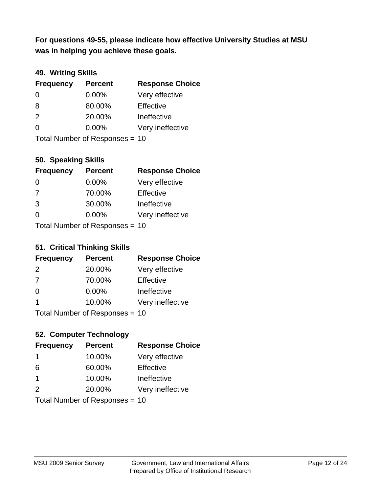**was in helping you achieve these goals. For questions 49-55, please indicate how effective University Studies at MSU** 

## **49. Writing Skills**

| <b>Frequency</b> | <b>Percent</b>                 | <b>Response Choice</b> |
|------------------|--------------------------------|------------------------|
| $\Omega$         | $0.00\%$                       | Very effective         |
| 8                | 80.00%                         | Effective              |
| 2                | 20.00%                         | Ineffective            |
| $\Omega$         | $0.00\%$                       | Very ineffective       |
|                  | Total Number of Responses = 10 |                        |

### **50. Speaking Skills**

| <b>Frequency</b> | <b>Percent</b>                 | <b>Response Choice</b> |
|------------------|--------------------------------|------------------------|
| $\Omega$         | $0.00\%$                       | Very effective         |
| 7                | 70.00%                         | Effective              |
| 3                | 30.00%                         | Ineffective            |
| $\Omega$         | $0.00\%$                       | Very ineffective       |
|                  | Total Number of Responses = 10 |                        |

## **51. Critical Thinking Skills**

| <b>Frequency</b>             | <b>Percent</b> | <b>Response Choice</b> |
|------------------------------|----------------|------------------------|
| 2                            | 20.00%         | Very effective         |
| 7                            | 70.00%         | Effective              |
| $\Omega$                     | $0.00\%$       | Ineffective            |
|                              | 10.00%         | Very ineffective       |
| $Total Number of Denonone -$ |                |                        |

Total Number of Responses = 10

## **52. Computer Technology**

| <b>Frequency</b> | <b>Percent</b>                 | <b>Response Choice</b> |
|------------------|--------------------------------|------------------------|
| -1               | 10.00%                         | Very effective         |
| 6                | 60.00%                         | Effective              |
| $\overline{1}$   | 10.00%                         | Ineffective            |
| $\mathcal{P}$    | 20.00%                         | Very ineffective       |
|                  | Total Number of Responses = 10 |                        |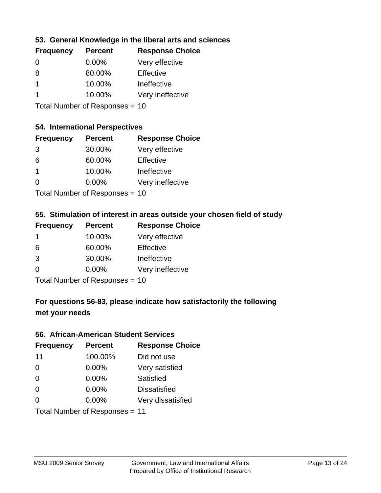## **53. General Knowledge in the liberal arts and sciences**

| <b>Frequency</b> | <b>Percent</b> | <b>Response Choice</b> |
|------------------|----------------|------------------------|
| $\Omega$         | $0.00\%$       | Very effective         |
| 8                | 80.00%         | Effective              |
|                  | 10.00%         | Ineffective            |
|                  | 10.00%         | Very ineffective       |
|                  |                |                        |

Total Number of Responses = 10

## **54. International Perspectives**

| <b>Frequency</b> | <b>Percent</b> | <b>Response Choice</b> |
|------------------|----------------|------------------------|
| 3                | 30.00%         | Very effective         |
| 6                | 60.00%         | Effective              |
| 1                | 10.00%         | Ineffective            |
| 0                | 0.00%          | Very ineffective       |
|                  |                |                        |

Total Number of Responses = 10

## **55. Stimulation of interest in areas outside your chosen field of study**

| <b>Frequency</b>               | <b>Percent</b> | <b>Response Choice</b> |
|--------------------------------|----------------|------------------------|
| -1                             | 10.00%         | Very effective         |
| 6                              | 60.00%         | Effective              |
| 3                              | 30.00%         | Ineffective            |
| $\Omega$                       | 0.00%          | Very ineffective       |
| Total Number of Responses = 10 |                |                        |

**For questions 56-83, please indicate how satisfactorily the following met your needs**

#### **56. African-American Student Services**

| <b>Frequency</b> | <b>Percent</b>                 | <b>Response Choice</b> |
|------------------|--------------------------------|------------------------|
| 11               | 100.00%                        | Did not use            |
| $\Omega$         | 0.00%                          | Very satisfied         |
| $\Omega$         | 0.00%                          | Satisfied              |
| $\Omega$         | $0.00\%$                       | <b>Dissatisfied</b>    |
| $\Omega$         | 0.00%                          | Very dissatisfied      |
|                  | Total Number of Responses = 11 |                        |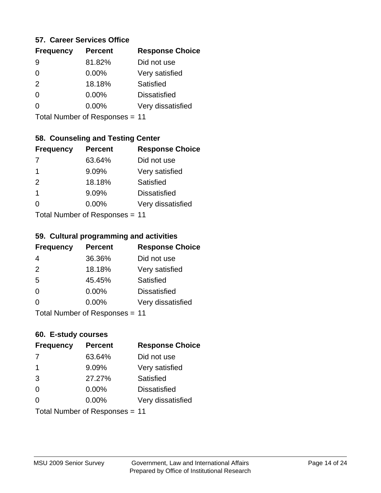### **57. Career Services Office**

| <b>Frequency</b> | <b>Percent</b> | <b>Response Choice</b> |
|------------------|----------------|------------------------|
| 9                | 81.82%         | Did not use            |
| 0                | 0.00%          | Very satisfied         |
| 2                | 18.18%         | Satisfied              |
| 0                | $0.00\%$       | <b>Dissatisfied</b>    |
|                  | $0.00\%$       | Very dissatisfied      |
|                  |                |                        |

Total Number of Responses = 11

## **58. Counseling and Testing Center**

| <b>Frequency</b> | <b>Percent</b>                   | <b>Response Choice</b> |
|------------------|----------------------------------|------------------------|
| -7               | 63.64%                           | Did not use            |
| 1                | 9.09%                            | Very satisfied         |
| 2                | 18.18%                           | Satisfied              |
| 1                | 9.09%                            | <b>Dissatisfied</b>    |
| ∩                | 0.00%                            | Very dissatisfied      |
|                  | $Total Number of Doeponeoc = 11$ |                        |

Total Number of Responses = 11

#### **59. Cultural programming and activities**

| <b>Frequency</b> | <b>Percent</b>            | <b>Response Choice</b> |
|------------------|---------------------------|------------------------|
| 4                | 36.36%                    | Did not use            |
| 2                | 18.18%                    | Very satisfied         |
| 5                | 45.45%                    | Satisfied              |
| $\Omega$         | $0.00\%$                  | <b>Dissatisfied</b>    |
| $\Omega$         | $0.00\%$                  | Very dissatisfied      |
|                  | Total Number of DoEROR 0. |                        |

Total Number of Responses = 11

### **60. E-study courses**

| <b>Frequency</b> | <b>Percent</b>                 | <b>Response Choice</b> |
|------------------|--------------------------------|------------------------|
| 7                | 63.64%                         | Did not use            |
| $\mathbf 1$      | 9.09%                          | Very satisfied         |
| 3                | 27.27%                         | Satisfied              |
| $\Omega$         | 0.00%                          | <b>Dissatisfied</b>    |
| $\Omega$         | $0.00\%$                       | Very dissatisfied      |
|                  | Total Number of Responses = 11 |                        |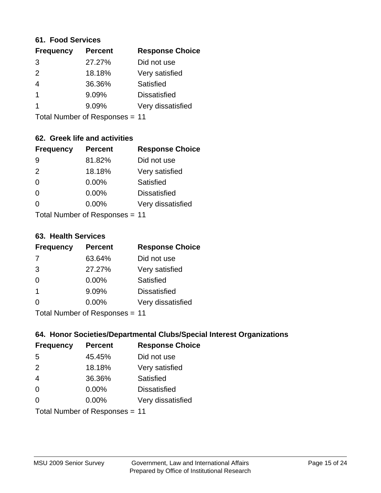#### **61. Food Services**

| <b>Percent</b> | <b>Response Choice</b> |
|----------------|------------------------|
| 27.27%         | Did not use            |
| 18.18%         | Very satisfied         |
| 36.36%         | Satisfied              |
| 9.09%          | <b>Dissatisfied</b>    |
| 9.09%          | Very dissatisfied      |
|                |                        |

Total Number of Responses = 11

## **62. Greek life and activities**

| <b>Frequency</b> | <b>Percent</b>                 | <b>Response Choice</b> |
|------------------|--------------------------------|------------------------|
| 9                | 81.82%                         | Did not use            |
| 2                | 18.18%                         | Very satisfied         |
| $\Omega$         | 0.00%                          | Satisfied              |
| $\Omega$         | 0.00%                          | <b>Dissatisfied</b>    |
| O                | 0.00%                          | Very dissatisfied      |
|                  | Total Number of Responses = 11 |                        |

#### **63. Health Services**

| <b>Frequency</b> | <b>Percent</b>             | <b>Response Choice</b> |
|------------------|----------------------------|------------------------|
| 7                | 63.64%                     | Did not use            |
| 3                | 27.27%                     | Very satisfied         |
| $\Omega$         | $0.00\%$                   | Satisfied              |
| -1               | 9.09%                      | <b>Dissatisfied</b>    |
| $\Omega$         | 0.00%                      | Very dissatisfied      |
|                  | Total Number of Desperance |                        |

Total Number of Responses = 11

## **64. Honor Societies/Departmental Clubs/Special Interest Organizations**

| <b>Frequency</b> | <b>Percent</b>                 | <b>Response Choice</b> |
|------------------|--------------------------------|------------------------|
| 5                | 45.45%                         | Did not use            |
| 2                | 18.18%                         | Very satisfied         |
| $\overline{4}$   | 36.36%                         | Satisfied              |
| $\Omega$         | $0.00\%$                       | <b>Dissatisfied</b>    |
| $\Omega$         | 0.00%                          | Very dissatisfied      |
|                  | Total Number of Responses = 11 |                        |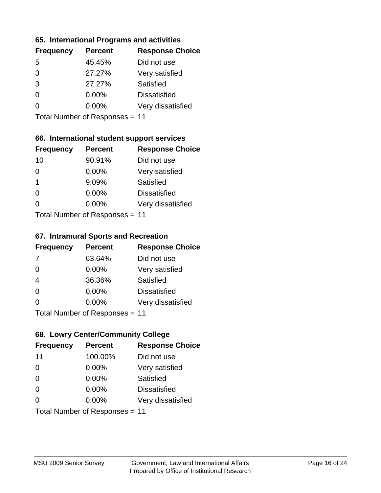### **65. International Programs and activities**

| <b>Percent</b> | <b>Response Choice</b> |
|----------------|------------------------|
| 45.45%         | Did not use            |
| 27.27%         | Very satisfied         |
| 27.27%         | Satisfied              |
| $0.00\%$       | <b>Dissatisfied</b>    |
| $0.00\%$       | Very dissatisfied      |
|                |                        |

Total Number of Responses = 11

## **66. International student support services**

| <b>Frequency</b> | <b>Percent</b>            | <b>Response Choice</b> |
|------------------|---------------------------|------------------------|
| 10               | 90.91%                    | Did not use            |
| $\Omega$         | 0.00%                     | Very satisfied         |
| $\overline{1}$   | 9.09%                     | <b>Satisfied</b>       |
| $\Omega$         | 0.00%                     | <b>Dissatisfied</b>    |
| $\Omega$         | $0.00\%$                  | Very dissatisfied      |
|                  | Total Number of DoEROR 0. |                        |

Total Number of Responses = 11

#### **67. Intramural Sports and Recreation**

| <b>Frequency</b> | <b>Percent</b>                  | <b>Response Choice</b> |
|------------------|---------------------------------|------------------------|
| 7                | 63.64%                          | Did not use            |
| $\Omega$         | $0.00\%$                        | Very satisfied         |
| $\overline{4}$   | 36.36%                          | Satisfied              |
| $\Omega$         | $0.00\%$                        | <b>Dissatisfied</b>    |
| $\Omega$         | $0.00\%$                        | Very dissatisfied      |
|                  | $Total Number of Doeponce = 11$ |                        |

Total Number of Responses = 11

## **68. Lowry Center/Community College**

| <b>Frequency</b> | <b>Percent</b>                 | <b>Response Choice</b> |
|------------------|--------------------------------|------------------------|
| 11               | 100.00%                        | Did not use            |
| $\Omega$         | 0.00%                          | Very satisfied         |
| $\Omega$         | 0.00%                          | Satisfied              |
| $\Omega$         | 0.00%                          | <b>Dissatisfied</b>    |
| $\Omega$         | $0.00\%$                       | Very dissatisfied      |
|                  | Total Number of Responses = 11 |                        |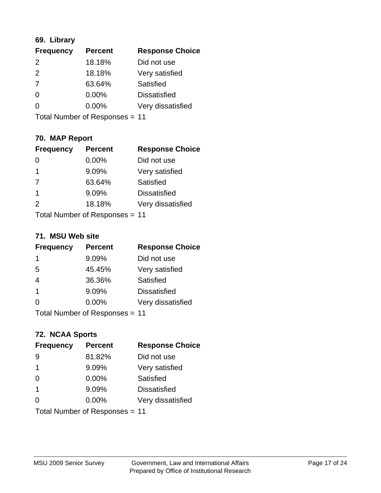## **69. Library**

| <b>Frequency</b> | <b>Percent</b> | <b>Response Choice</b> |
|------------------|----------------|------------------------|
| 2                | 18.18%         | Did not use            |
| 2                | 18.18%         | Very satisfied         |
| 7                | 63.64%         | Satisfied              |
| 0                | 0.00%          | <b>Dissatisfied</b>    |
| $\overline{0}$   | 0.00%          | Very dissatisfied      |
|                  |                |                        |

Total Number of Responses = 11

## **70. MAP Report**

| <b>Frequency</b> | <b>Percent</b>                 | <b>Response Choice</b> |
|------------------|--------------------------------|------------------------|
|                  | 0.00%                          | Did not use            |
| -1               | 9.09%                          | Very satisfied         |
| 7                | 63.64%                         | Satisfied              |
| $\overline{1}$   | 9.09%                          | <b>Dissatisfied</b>    |
| $\mathcal{P}$    | 18.18%                         | Very dissatisfied      |
|                  | Total Number of Responses = 11 |                        |

#### **71. MSU Web site**

| <b>Frequency</b> | <b>Percent</b>                 | <b>Response Choice</b> |
|------------------|--------------------------------|------------------------|
| 1                | 9.09%                          | Did not use            |
| 5                | 45.45%                         | Very satisfied         |
| $\overline{4}$   | 36.36%                         | Satisfied              |
| -1               | 9.09%                          | <b>Dissatisfied</b>    |
| ∩                | $0.00\%$                       | Very dissatisfied      |
|                  | Total Number of Responses = 11 |                        |

# **72. NCAA Sports**

| <b>Frequency</b> | <b>Percent</b>                 | <b>Response Choice</b> |
|------------------|--------------------------------|------------------------|
| 9                | 81.82%                         | Did not use            |
| -1               | 9.09%                          | Very satisfied         |
| $\Omega$         | 0.00%                          | Satisfied              |
| -1               | 9.09%                          | <b>Dissatisfied</b>    |
| ∩                | 0.00%                          | Very dissatisfied      |
|                  | Total Number of Responses = 11 |                        |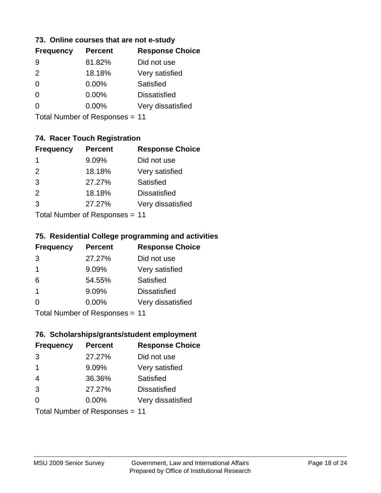### **73. Online courses that are not e-study**

| <b>Frequency</b> | <b>Percent</b> | <b>Response Choice</b> |
|------------------|----------------|------------------------|
| 9                | 81.82%         | Did not use            |
| $\mathcal{P}$    | 18.18%         | Very satisfied         |
| 0                | $0.00\%$       | Satisfied              |
|                  | $0.00\%$       | <b>Dissatisfied</b>    |
|                  | $0.00\%$       | Very dissatisfied      |
|                  |                |                        |

Total Number of Responses = 11

## **74. Racer Touch Registration**

| <b>Frequency</b>          | <b>Percent</b> | <b>Response Choice</b> |
|---------------------------|----------------|------------------------|
| 1                         | 9.09%          | Did not use            |
| 2                         | 18.18%         | Very satisfied         |
| 3                         | 27.27%         | <b>Satisfied</b>       |
| 2                         | 18.18%         | <b>Dissatisfied</b>    |
| 3                         | 27.27%         | Very dissatisfied      |
| Total Number of Doopepooo |                | 4 A                    |

Total Number of Responses = 11

### **75. Residential College programming and activities**

| <b>Frequency</b> | <b>Percent</b>            | <b>Response Choice</b> |
|------------------|---------------------------|------------------------|
| 3                | 27.27%                    | Did not use            |
| $\mathbf 1$      | 9.09%                     | Very satisfied         |
| 6                | 54.55%                    | Satisfied              |
| -1               | 9.09%                     | <b>Dissatisfied</b>    |
| $\Omega$         | 0.00%                     | Very dissatisfied      |
|                  | Total Number of DoEROR 0. |                        |

Total Number of Responses = 11

### **76. Scholarships/grants/student employment**

| <b>Frequency</b>               | <b>Percent</b> | <b>Response Choice</b> |
|--------------------------------|----------------|------------------------|
| 3                              | 27.27%         | Did not use            |
| -1                             | 9.09%          | Very satisfied         |
| $\overline{4}$                 | 36.36%         | Satisfied              |
| 3                              | 27.27%         | <b>Dissatisfied</b>    |
| $\Omega$                       | 0.00%          | Very dissatisfied      |
| Total Number of Responses = 11 |                |                        |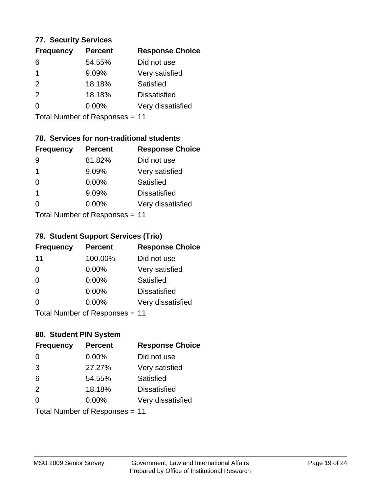### **77. Security Services**

| <b>Frequency</b> | <b>Percent</b> | <b>Response Choice</b> |
|------------------|----------------|------------------------|
| 6                | 54.55%         | Did not use            |
|                  | 9.09%          | Very satisfied         |
| $\mathcal{P}$    | 18.18%         | Satisfied              |
| $\mathcal{P}$    | 18.18%         | <b>Dissatisfied</b>    |
| ∩                | $0.00\%$       | Very dissatisfied      |
|                  |                |                        |

Total Number of Responses = 11

## **78. Services for non-traditional students**

| <b>Frequency</b>          | <b>Percent</b> | <b>Response Choice</b> |
|---------------------------|----------------|------------------------|
| 9                         | 81.82%         | Did not use            |
| 1                         | 9.09%          | Very satisfied         |
| $\Omega$                  | $0.00\%$       | Satisfied              |
| 1                         | 9.09%          | <b>Dissatisfied</b>    |
| 0                         | 0.00%          | Very dissatisfied      |
| Total Number of DoEROR 0. |                |                        |

Total Number of Responses = 11

## **79. Student Support Services (Trio)**

| <b>Frequency</b> | <b>Percent</b>                  | <b>Response Choice</b> |
|------------------|---------------------------------|------------------------|
| 11               | 100.00%                         | Did not use            |
| $\Omega$         | $0.00\%$                        | Very satisfied         |
| $\Omega$         | $0.00\%$                        | Satisfied              |
| $\Omega$         | $0.00\%$                        | <b>Dissatisfied</b>    |
| $\Omega$         | $0.00\%$                        | Very dissatisfied      |
|                  | $Total Number of Doeponce = 11$ |                        |

Total Number of Responses = 11

## **80. Student PIN System**

| <b>Frequency</b> | <b>Percent</b>                 | <b>Response Choice</b> |
|------------------|--------------------------------|------------------------|
| $\Omega$         | 0.00%                          | Did not use            |
| 3                | 27.27%                         | Very satisfied         |
| 6                | 54.55%                         | Satisfied              |
| 2                | 18.18%                         | <b>Dissatisfied</b>    |
| $\Omega$         | $0.00\%$                       | Very dissatisfied      |
|                  | Total Number of Responses = 11 |                        |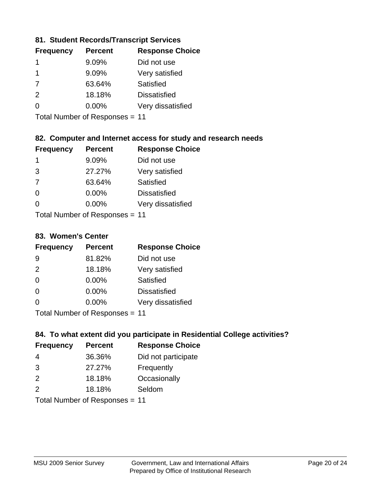## **81. Student Records/Transcript Services**

| <b>Percent</b> | <b>Response Choice</b> |
|----------------|------------------------|
| 9.09%          | Did not use            |
| 9.09%          | Very satisfied         |
| 63.64%         | Satisfied              |
| 18.18%         | <b>Dissatisfied</b>    |
| $0.00\%$       | Very dissatisfied      |
|                |                        |

Total Number of Responses = 11

## **82. Computer and Internet access for study and research needs**

| <b>Frequency</b>          | <b>Percent</b> | <b>Response Choice</b> |
|---------------------------|----------------|------------------------|
| 1                         | 9.09%          | Did not use            |
| 3                         | 27.27%         | Very satisfied         |
| 7                         | 63.64%         | Satisfied              |
| $\Omega$                  | 0.00%          | <b>Dissatisfied</b>    |
| ∩                         | 0.00%          | Very dissatisfied      |
| Total Number of Desponses |                |                        |

Total Number of Responses = 11

#### **83. Women's Center**

| <b>Frequency</b> | <b>Percent</b> | <b>Response Choice</b> |
|------------------|----------------|------------------------|
| 9                | 81.82%         | Did not use            |
| $\mathcal{P}$    | 18.18%         | Very satisfied         |
| $\Omega$         | $0.00\%$       | Satisfied              |
| $\Omega$         | $0.00\%$       | <b>Dissatisfied</b>    |
| $\Omega$         | 0.00%          | Very dissatisfied      |
|                  |                |                        |

Total Number of Responses = 11

## **84. To what extent did you participate in Residential College activities?**

| <b>Frequency</b> | <b>Percent</b> | <b>Response Choice</b> |
|------------------|----------------|------------------------|
| 4                | 36.36%         | Did not participate    |
| 3                | 27.27%         | Frequently             |
| 2                | 18.18%         | Occasionally           |
| $\mathcal{P}$    | 18.18%         | Seldom                 |
|                  |                |                        |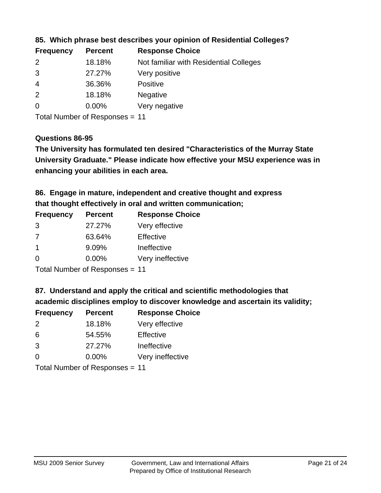| <b>Frequency</b> | <b>Percent</b> | <b>Response Choice</b>                 |
|------------------|----------------|----------------------------------------|
| $\mathcal{P}$    | 18.18%         | Not familiar with Residential Colleges |
| 3                | 27.27%         | Very positive                          |
| -4               | 36.36%         | <b>Positive</b>                        |
| 2                | 18.18%         | <b>Negative</b>                        |
| $\overline{0}$   | $0.00\%$       | Very negative                          |

### **85. Which phrase best describes your opinion of Residential Colleges?**

Total Number of Responses = 11

#### **Questions 86-95**

**University Graduate." Please indicate how effective your MSU experience was in The University has formulated ten desired "Characteristics of the Murray State enhancing your abilities in each area.**

**86. Engage in mature, independent and creative thought and express that thought effectively in oral and written communication;**

| <b>Percent</b> | <b>Response Choice</b> |
|----------------|------------------------|
| 27.27%         | Very effective         |
| 63.64%         | Effective              |
| 9.09%          | Ineffective            |
| $0.00\%$       | Very ineffective       |
|                |                        |

Total Number of Responses = 11

**87. Understand and apply the critical and scientific methodologies that** 

**academic disciplines employ to discover knowledge and ascertain its validity;**

| <b>Frequency</b> | <b>Percent</b> | <b>Response Choice</b> |
|------------------|----------------|------------------------|
| $\mathcal{P}$    | 18.18%         | Very effective         |
| 6                | 54.55%         | Effective              |
| 3                | 27.27%         | Ineffective            |
| $\Omega$         | 0.00%          | Very ineffective       |
|                  |                |                        |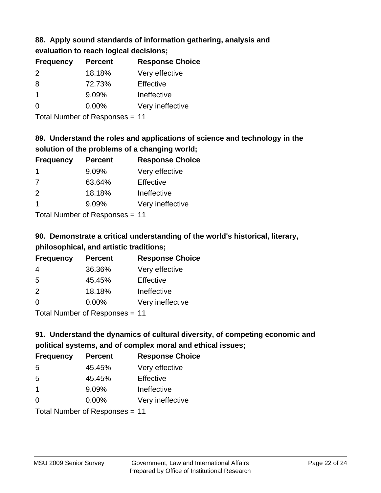# **88. Apply sound standards of information gathering, analysis and evaluation to reach logical decisions;**

| <b>Frequency</b> | <b>Percent</b> | <b>Response Choice</b> |
|------------------|----------------|------------------------|
| $\mathcal{P}$    | 18.18%         | Very effective         |
| 8                | 72.73%         | Effective              |
|                  | 9.09%          | Ineffective            |
| O                | $0.00\%$       | Very ineffective       |

Total Number of Responses = 11

## **89. Understand the roles and applications of science and technology in the solution of the problems of a changing world;**

| <b>Frequency</b>           | <b>Percent</b> | <b>Response Choice</b> |
|----------------------------|----------------|------------------------|
| -1                         | 9.09%          | Very effective         |
| 7                          | 63.64%         | Effective              |
| 2                          | 18.18%         | Ineffective            |
|                            | 9.09%          | Very ineffective       |
| Tetal Number of Desperance |                |                        |

Total Number of Responses = 11

# **90. Demonstrate a critical understanding of the world's historical, literary, philosophical, and artistic traditions;**

| <b>Frequency</b> | <b>Percent</b> | <b>Response Choice</b> |
|------------------|----------------|------------------------|
| 4                | 36.36%         | Very effective         |
| 5                | 45.45%         | Effective              |
| $\mathcal{P}$    | 18.18%         | Ineffective            |
| $\Omega$         | 0.00%          | Very ineffective       |
|                  |                |                        |

Total Number of Responses = 11

# **91. Understand the dynamics of cultural diversity, of competing economic and political systems, and of complex moral and ethical issues;**

| <b>Frequency</b> | <b>Percent</b>                 | <b>Response Choice</b> |
|------------------|--------------------------------|------------------------|
| 5                | 45.45%                         | Very effective         |
| 5                | 45.45%                         | Effective              |
| $\overline{1}$   | 9.09%                          | Ineffective            |
| $\Omega$         | 0.00%                          | Very ineffective       |
|                  | Total Number of Responses = 11 |                        |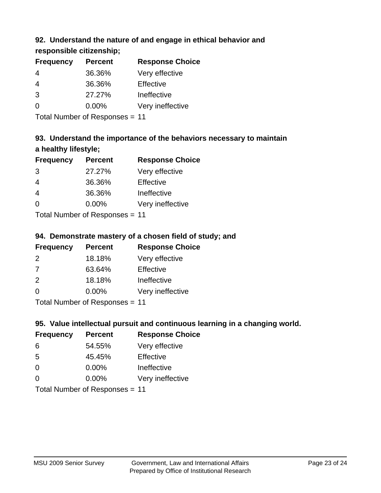## **92. Understand the nature of and engage in ethical behavior and**

**responsible citizenship;**

| <b>Percent</b> | <b>Response Choice</b> |
|----------------|------------------------|
| 36.36%         | Very effective         |
| 36.36%         | Effective              |
| 27.27%         | Ineffective            |
| $0.00\%$       | Very ineffective       |
|                |                        |

Total Number of Responses = 11

# **93. Understand the importance of the behaviors necessary to maintain a healthy lifestyle;**

| <b>Frequency</b>          | <b>Percent</b> | <b>Response Choice</b> |
|---------------------------|----------------|------------------------|
| 3                         | 27.27%         | Very effective         |
| 4                         | 36.36%         | Effective              |
| $\overline{4}$            | 36.36%         | Ineffective            |
| $\Omega$                  | 0.00%          | Very ineffective       |
| Total Number of Desponses |                |                        |

Total Number of Responses = 11

## **94. Demonstrate mastery of a chosen field of study; and**

| <b>Frequency</b> | <b>Percent</b> | <b>Response Choice</b> |
|------------------|----------------|------------------------|
| $\mathcal{P}$    | 18.18%         | Very effective         |
| 7                | 63.64%         | Effective              |
| $\mathcal{P}$    | 18.18%         | Ineffective            |
| $\Omega$         | $0.00\%$       | Very ineffective       |
|                  |                |                        |

Total Number of Responses = 11

## **95. Value intellectual pursuit and continuous learning in a changing world.**

| <b>Frequency</b>           | <b>Percent</b> | <b>Response Choice</b> |
|----------------------------|----------------|------------------------|
| 6                          | 54.55%         | Very effective         |
| -5                         | 45.45%         | Effective              |
| $\Omega$                   | $0.00\%$       | Ineffective            |
| $\Omega$                   | 0.00%          | Very ineffective       |
| Total Number of Desperance |                |                        |